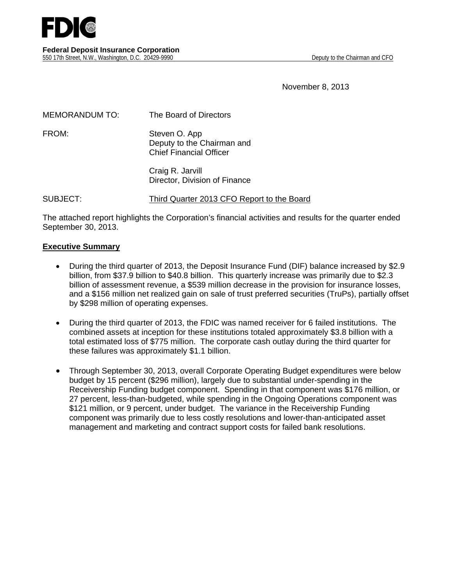November 8, 2013

| <b>MEMORANDUM TO:</b> | The Board of Directors                                                        |
|-----------------------|-------------------------------------------------------------------------------|
| FROM:                 | Steven O. App<br>Deputy to the Chairman and<br><b>Chief Financial Officer</b> |
|                       | Craig R. Jarvill<br>Director, Division of Finance                             |

SUBJECT: Third Quarter 2013 CFO Report to the Board

The attached report highlights the Corporation's financial activities and results for the quarter ended September 30, 2013.

#### **Executive Summary**

- During the third quarter of 2013, the Deposit Insurance Fund (DIF) balance increased by \$2.9 billion, from \$37.9 billion to \$40.8 billion. This quarterly increase was primarily due to \$2.3 billion of assessment revenue, a \$539 million decrease in the provision for insurance losses, and a \$156 million net realized gain on sale of trust preferred securities (TruPs), partially offset by \$298 million of operating expenses.
- During the third quarter of 2013, the FDIC was named receiver for 6 failed institutions. The combined assets at inception for these institutions totaled approximately \$3.8 billion with a total estimated loss of \$775 million. The corporate cash outlay during the third quarter for these failures was approximately \$1.1 billion.
- Through September 30, 2013, overall Corporate Operating Budget expenditures were below budget by 15 percent (\$296 million), largely due to substantial under-spending in the Receivership Funding budget component. Spending in that component was \$176 million, or 27 percent, less-than-budgeted, while spending in the Ongoing Operations component was \$121 million, or 9 percent, under budget. The variance in the Receivership Funding component was primarily due to less costly resolutions and lower-than-anticipated asset management and marketing and contract support costs for failed bank resolutions.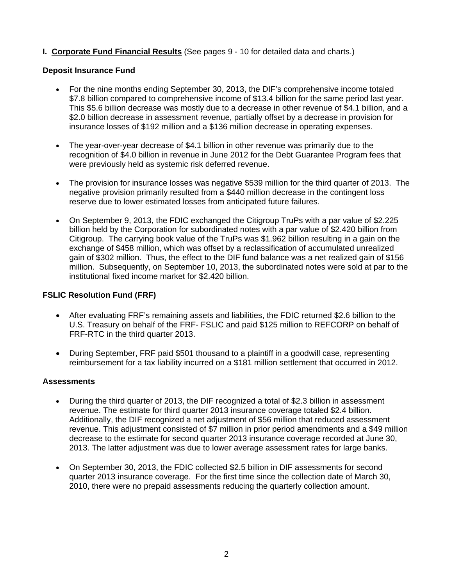# **I. Corporate Fund Financial Results** (See pages 9 - 10 for detailed data and charts.)

## **Deposit Insurance Fund**

- For the nine months ending September 30, 2013, the DIF's comprehensive income totaled \$7.8 billion compared to comprehensive income of \$13.4 billion for the same period last year. This \$5.6 billion decrease was mostly due to a decrease in other revenue of \$4.1 billion, and a \$2.0 billion decrease in assessment revenue, partially offset by a decrease in provision for insurance losses of \$192 million and a \$136 million decrease in operating expenses.
- The year-over-year decrease of \$4.1 billion in other revenue was primarily due to the recognition of \$4.0 billion in revenue in June 2012 for the Debt Guarantee Program fees that were previously held as systemic risk deferred revenue.
- The provision for insurance losses was negative \$539 million for the third quarter of 2013. The negative provision primarily resulted from a \$440 million decrease in the contingent loss reserve due to lower estimated losses from anticipated future failures.
- On September 9, 2013, the FDIC exchanged the Citigroup TruPs with a par value of \$2.225 billion held by the Corporation for subordinated notes with a par value of \$2.420 billion from Citigroup. The carrying book value of the TruPs was \$1.962 billion resulting in a gain on the exchange of \$458 million, which was offset by a reclassification of accumulated unrealized gain of \$302 million. Thus, the effect to the DIF fund balance was a net realized gain of \$156 million. Subsequently, on September 10, 2013, the subordinated notes were sold at par to the institutional fixed income market for \$2.420 billion.

#### **FSLIC Resolution Fund (FRF)**

- After evaluating FRF's remaining assets and liabilities, the FDIC returned \$2.6 billion to the U.S. Treasury on behalf of the FRF- FSLIC and paid \$125 million to REFCORP on behalf of FRF-RTC in the third quarter 2013.
- During September, FRF paid \$501 thousand to a plaintiff in a goodwill case, representing reimbursement for a tax liability incurred on a \$181 million settlement that occurred in 2012.

#### **Assessments**

- During the third quarter of 2013, the DIF recognized a total of \$2.3 billion in assessment revenue. The estimate for third quarter 2013 insurance coverage totaled \$2.4 billion. Additionally, the DIF recognized a net adjustment of \$56 million that reduced assessment revenue. This adjustment consisted of \$7 million in prior period amendments and a \$49 million decrease to the estimate for second quarter 2013 insurance coverage recorded at June 30, 2013. The latter adjustment was due to lower average assessment rates for large banks.
- On September 30, 2013, the FDIC collected \$2.5 billion in DIF assessments for second quarter 2013 insurance coverage. For the first time since the collection date of March 30, 2010, there were no prepaid assessments reducing the quarterly collection amount.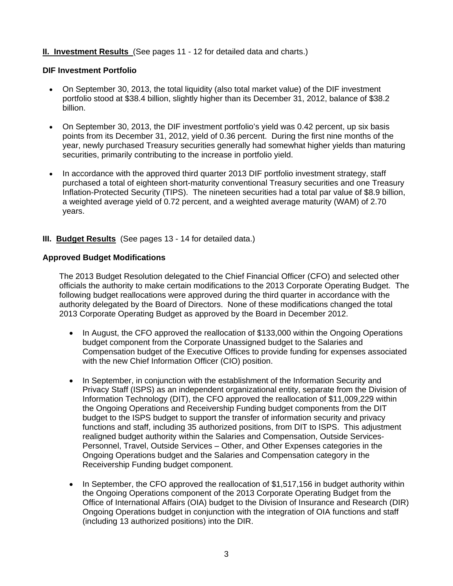# **II. Investment Results** (See pages 11 - 12 for detailed data and charts.)

## **DIF Investment Portfolio**

- On September 30, 2013, the total liquidity (also total market value) of the DIF investment portfolio stood at \$38.4 billion, slightly higher than its December 31, 2012, balance of \$38.2 billion.
- On September 30, 2013, the DIF investment portfolio's yield was 0.42 percent, up six basis points from its December 31, 2012, yield of 0.36 percent. During the first nine months of the year, newly purchased Treasury securities generally had somewhat higher yields than maturing securities, primarily contributing to the increase in portfolio yield.
- In accordance with the approved third quarter 2013 DIF portfolio investment strategy, staff purchased a total of eighteen short-maturity conventional Treasury securities and one Treasury Inflation-Protected Security (TIPS). The nineteen securities had a total par value of \$8.9 billion, a weighted average yield of 0.72 percent, and a weighted average maturity (WAM) of 2.70 years.

## **III. Budget Results** (See pages 13 - 14 for detailed data.)

## **Approved Budget Modifications**

The 2013 Budget Resolution delegated to the Chief Financial Officer (CFO) and selected other officials the authority to make certain modifications to the 2013 Corporate Operating Budget. The following budget reallocations were approved during the third quarter in accordance with the authority delegated by the Board of Directors. None of these modifications changed the total 2013 Corporate Operating Budget as approved by the Board in December 2012.

- In August, the CFO approved the reallocation of \$133,000 within the Ongoing Operations budget component from the Corporate Unassigned budget to the Salaries and Compensation budget of the Executive Offices to provide funding for expenses associated with the new Chief Information Officer (CIO) position.
- In September, in conjunction with the establishment of the Information Security and Privacy Staff (ISPS) as an independent organizational entity, separate from the Division of Information Technology (DIT), the CFO approved the reallocation of \$11,009,229 within the Ongoing Operations and Receivership Funding budget components from the DIT budget to the ISPS budget to support the transfer of information security and privacy functions and staff, including 35 authorized positions, from DIT to ISPS. This adjustment realigned budget authority within the Salaries and Compensation, Outside Services-Personnel, Travel, Outside Services – Other, and Other Expenses categories in the Ongoing Operations budget and the Salaries and Compensation category in the Receivership Funding budget component.
- In September, the CFO approved the reallocation of \$1,517,156 in budget authority within the Ongoing Operations component of the 2013 Corporate Operating Budget from the Office of International Affairs (OIA) budget to the Division of Insurance and Research (DIR) Ongoing Operations budget in conjunction with the integration of OIA functions and staff (including 13 authorized positions) into the DIR.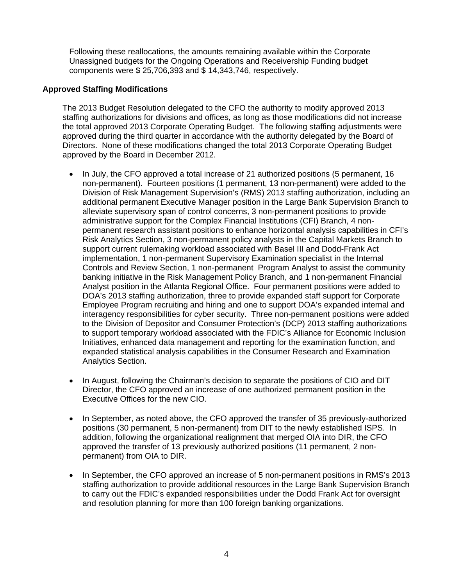Following these reallocations, the amounts remaining available within the Corporate Unassigned budgets for the Ongoing Operations and Receivership Funding budget components were \$ 25,706,393 and \$ 14,343,746, respectively.

#### **Approved Staffing Modifications**

The 2013 Budget Resolution delegated to the CFO the authority to modify approved 2013 staffing authorizations for divisions and offices, as long as those modifications did not increase the total approved 2013 Corporate Operating Budget. The following staffing adjustments were approved during the third quarter in accordance with the authority delegated by the Board of Directors. None of these modifications changed the total 2013 Corporate Operating Budget approved by the Board in December 2012.

- In July, the CFO approved a total increase of 21 authorized positions (5 permanent, 16 non-permanent). Fourteen positions (1 permanent, 13 non-permanent) were added to the Division of Risk Management Supervision's (RMS) 2013 staffing authorization, including an additional permanent Executive Manager position in the Large Bank Supervision Branch to alleviate supervisory span of control concerns, 3 non-permanent positions to provide administrative support for the Complex Financial Institutions (CFI) Branch, 4 nonpermanent research assistant positions to enhance horizontal analysis capabilities in CFI's Risk Analytics Section, 3 non-permanent policy analysts in the Capital Markets Branch to support current rulemaking workload associated with Basel III and Dodd-Frank Act implementation, 1 non-permanent Supervisory Examination specialist in the Internal Controls and Review Section, 1 non-permanent Program Analyst to assist the community banking initiative in the Risk Management Policy Branch, and 1 non-permanent Financial Analyst position in the Atlanta Regional Office. Four permanent positions were added to DOA's 2013 staffing authorization, three to provide expanded staff support for Corporate Employee Program recruiting and hiring and one to support DOA's expanded internal and interagency responsibilities for cyber security. Three non-permanent positions were added to the Division of Depositor and Consumer Protection's (DCP) 2013 staffing authorizations to support temporary workload associated with the FDIC's Alliance for Economic Inclusion Initiatives, enhanced data management and reporting for the examination function, and expanded statistical analysis capabilities in the Consumer Research and Examination Analytics Section.
- In August, following the Chairman's decision to separate the positions of CIO and DIT Director, the CFO approved an increase of one authorized permanent position in the Executive Offices for the new CIO.
- In September, as noted above, the CFO approved the transfer of 35 previously-authorized positions (30 permanent, 5 non-permanent) from DIT to the newly established ISPS. In addition, following the organizational realignment that merged OIA into DIR, the CFO approved the transfer of 13 previously authorized positions (11 permanent, 2 nonpermanent) from OIA to DIR.
- In September, the CFO approved an increase of 5 non-permanent positions in RMS's 2013 staffing authorization to provide additional resources in the Large Bank Supervision Branch to carry out the FDIC's expanded responsibilities under the Dodd Frank Act for oversight and resolution planning for more than 100 foreign banking organizations.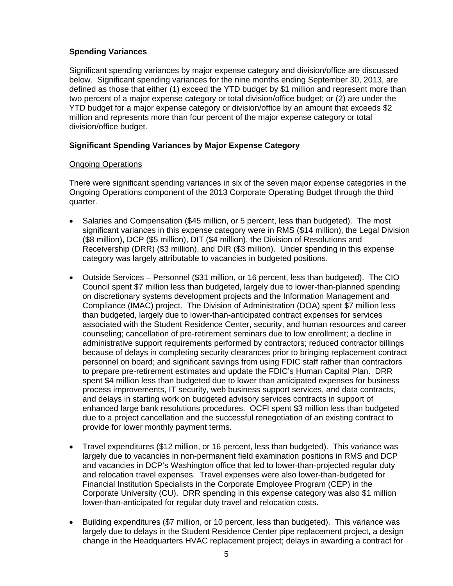# **Spending Variances**

Significant spending variances by major expense category and division/office are discussed below. Significant spending variances for the nine months ending September 30, 2013, are defined as those that either (1) exceed the YTD budget by \$1 million and represent more than two percent of a major expense category or total division/office budget; or (2) are under the YTD budget for a major expense category or division/office by an amount that exceeds \$2 million and represents more than four percent of the major expense category or total division/office budget.

## **Significant Spending Variances by Major Expense Category**

## Ongoing Operations

There were significant spending variances in six of the seven major expense categories in the Ongoing Operations component of the 2013 Corporate Operating Budget through the third quarter.

- Salaries and Compensation (\$45 million, or 5 percent, less than budgeted). The most significant variances in this expense category were in RMS (\$14 million), the Legal Division (\$8 million), DCP (\$5 million), DIT (\$4 million), the Division of Resolutions and Receivership (DRR) (\$3 million), and DIR (\$3 million). Under spending in this expense category was largely attributable to vacancies in budgeted positions.
- Outside Services Personnel (\$31 million, or 16 percent, less than budgeted). The CIO Council spent \$7 million less than budgeted, largely due to lower-than-planned spending on discretionary systems development projects and the Information Management and Compliance (IMAC) project. The Division of Administration (DOA) spent \$7 million less than budgeted, largely due to lower-than-anticipated contract expenses for services associated with the Student Residence Center, security, and human resources and career counseling; cancellation of pre-retirement seminars due to low enrollment; a decline in administrative support requirements performed by contractors; reduced contractor billings because of delays in completing security clearances prior to bringing replacement contract personnel on board; and significant savings from using FDIC staff rather than contractors to prepare pre-retirement estimates and update the FDIC's Human Capital Plan. DRR spent \$4 million less than budgeted due to lower than anticipated expenses for business process improvements, IT security, web business support services, and data contracts, and delays in starting work on budgeted advisory services contracts in support of enhanced large bank resolutions procedures. OCFI spent \$3 million less than budgeted due to a project cancellation and the successful renegotiation of an existing contract to provide for lower monthly payment terms.
- Travel expenditures (\$12 million, or 16 percent, less than budgeted). This variance was largely due to vacancies in non-permanent field examination positions in RMS and DCP and vacancies in DCP's Washington office that led to lower-than-projected regular duty and relocation travel expenses. Travel expenses were also lower-than-budgeted for Financial Institution Specialists in the Corporate Employee Program (CEP) in the Corporate University (CU). DRR spending in this expense category was also \$1 million lower-than-anticipated for regular duty travel and relocation costs.
- Building expenditures (\$7 million, or 10 percent, less than budgeted). This variance was largely due to delays in the Student Residence Center pipe replacement project, a design change in the Headquarters HVAC replacement project; delays in awarding a contract for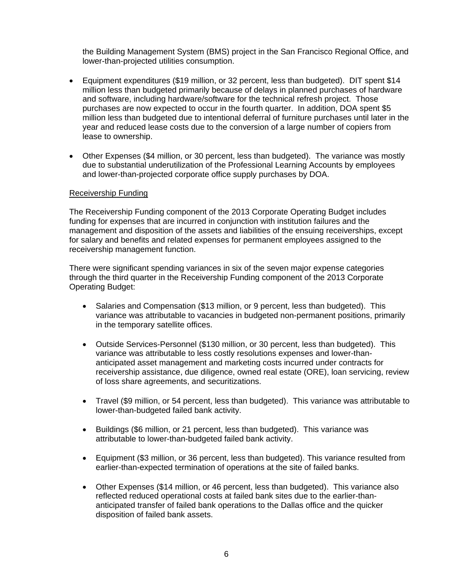the Building Management System (BMS) project in the San Francisco Regional Office, and lower-than-projected utilities consumption.

- Equipment expenditures (\$19 million, or 32 percent, less than budgeted). DIT spent \$14 million less than budgeted primarily because of delays in planned purchases of hardware and software, including hardware/software for the technical refresh project. Those purchases are now expected to occur in the fourth quarter. In addition, DOA spent \$5 million less than budgeted due to intentional deferral of furniture purchases until later in the year and reduced lease costs due to the conversion of a large number of copiers from lease to ownership.
- Other Expenses (\$4 million, or 30 percent, less than budgeted). The variance was mostly due to substantial underutilization of the Professional Learning Accounts by employees and lower-than-projected corporate office supply purchases by DOA.

#### Receivership Funding

The Receivership Funding component of the 2013 Corporate Operating Budget includes funding for expenses that are incurred in conjunction with institution failures and the management and disposition of the assets and liabilities of the ensuing receiverships, except for salary and benefits and related expenses for permanent employees assigned to the receivership management function.

There were significant spending variances in six of the seven major expense categories through the third quarter in the Receivership Funding component of the 2013 Corporate Operating Budget:

- Salaries and Compensation (\$13 million, or 9 percent, less than budgeted). This variance was attributable to vacancies in budgeted non-permanent positions, primarily in the temporary satellite offices.
- Outside Services-Personnel (\$130 million, or 30 percent, less than budgeted). This variance was attributable to less costly resolutions expenses and lower-thananticipated asset management and marketing costs incurred under contracts for receivership assistance, due diligence, owned real estate (ORE), loan servicing, review of loss share agreements, and securitizations.
- Travel (\$9 million, or 54 percent, less than budgeted). This variance was attributable to lower-than-budgeted failed bank activity.
- Buildings (\$6 million, or 21 percent, less than budgeted). This variance was attributable to lower-than-budgeted failed bank activity.
- Equipment (\$3 million, or 36 percent, less than budgeted). This variance resulted from earlier-than-expected termination of operations at the site of failed banks.
- Other Expenses (\$14 million, or 46 percent, less than budgeted). This variance also reflected reduced operational costs at failed bank sites due to the earlier-thananticipated transfer of failed bank operations to the Dallas office and the quicker disposition of failed bank assets.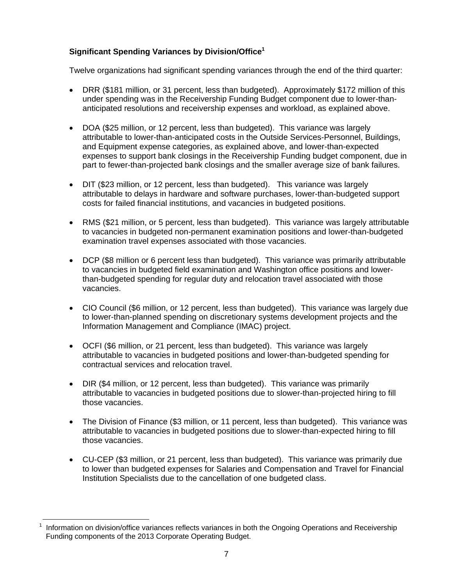# **Significant Spending Variances by Division/Office1**

Twelve organizations had significant spending variances through the end of the third quarter:

- DRR (\$181 million, or 31 percent, less than budgeted). Approximately \$172 million of this under spending was in the Receivership Funding Budget component due to lower-thananticipated resolutions and receivership expenses and workload, as explained above.
- DOA (\$25 million, or 12 percent, less than budgeted). This variance was largely attributable to lower-than-anticipated costs in the Outside Services-Personnel, Buildings, and Equipment expense categories, as explained above, and lower-than-expected expenses to support bank closings in the Receivership Funding budget component, due in part to fewer-than-projected bank closings and the smaller average size of bank failures.
- DIT (\$23 million, or 12 percent, less than budgeted). This variance was largely attributable to delays in hardware and software purchases, lower-than-budgeted support costs for failed financial institutions, and vacancies in budgeted positions.
- RMS (\$21 million, or 5 percent, less than budgeted). This variance was largely attributable to vacancies in budgeted non-permanent examination positions and lower-than-budgeted examination travel expenses associated with those vacancies.
- DCP (\$8 million or 6 percent less than budgeted). This variance was primarily attributable to vacancies in budgeted field examination and Washington office positions and lowerthan-budgeted spending for regular duty and relocation travel associated with those vacancies.
- CIO Council (\$6 million, or 12 percent, less than budgeted). This variance was largely due to lower-than-planned spending on discretionary systems development projects and the Information Management and Compliance (IMAC) project.
- OCFI (\$6 million, or 21 percent, less than budgeted). This variance was largely attributable to vacancies in budgeted positions and lower-than-budgeted spending for contractual services and relocation travel.
- DIR (\$4 million, or 12 percent, less than budgeted). This variance was primarily attributable to vacancies in budgeted positions due to slower-than-projected hiring to fill those vacancies.
- The Division of Finance (\$3 million, or 11 percent, less than budgeted). This variance was attributable to vacancies in budgeted positions due to slower-than-expected hiring to fill those vacancies.
- CU-CEP (\$3 million, or 21 percent, less than budgeted). This variance was primarily due to lower than budgeted expenses for Salaries and Compensation and Travel for Financial Institution Specialists due to the cancellation of one budgeted class.

 $\overline{a}$ 

<sup>1</sup> Information on division/office variances reflects variances in both the Ongoing Operations and Receivership Funding components of the 2013 Corporate Operating Budget.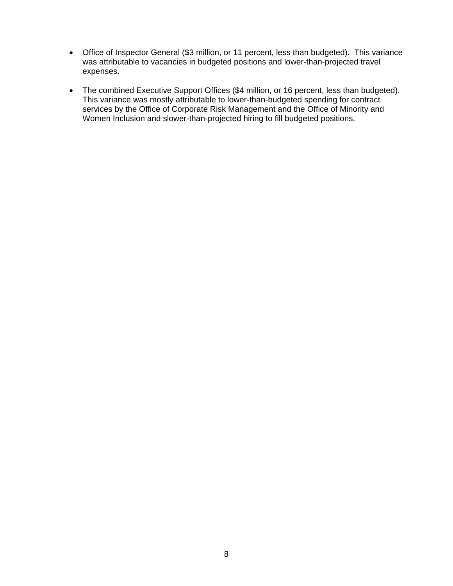- Office of Inspector General (\$3 million, or 11 percent, less than budgeted). This variance was attributable to vacancies in budgeted positions and lower-than-projected travel expenses.
- The combined Executive Support Offices (\$4 million, or 16 percent, less than budgeted). This variance was mostly attributable to lower-than-budgeted spending for contract services by the Office of Corporate Risk Management and the Office of Minority and Women Inclusion and slower-than-projected hiring to fill budgeted positions.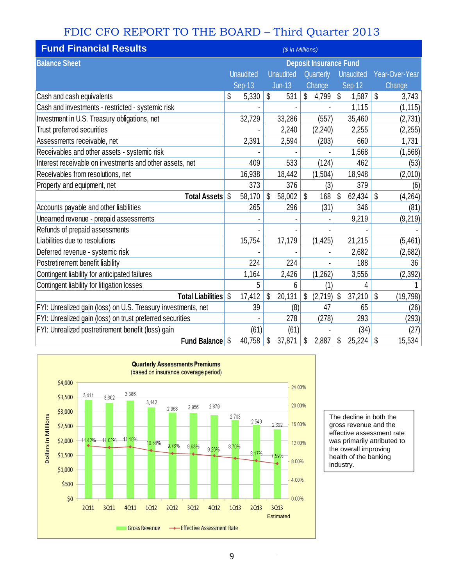# FDIC CFO REPORT TO THE BOARD – Third Quarter 2013

| <b>Fund Financial Results</b>                                 |                               |                  |    | (\$ in Millions) |    |           |              |    |                |
|---------------------------------------------------------------|-------------------------------|------------------|----|------------------|----|-----------|--------------|----|----------------|
| <b>Balance Sheet</b>                                          | <b>Deposit Insurance Fund</b> |                  |    |                  |    |           |              |    |                |
|                                                               |                               | <b>Unaudited</b> |    | <b>Unaudited</b> |    | Quarterly | Unaudited    |    | Year-Over-Year |
|                                                               |                               | <b>Sep-13</b>    |    | $Jun-13$         |    | Change    | Sep-12       |    | Change         |
| Cash and cash equivalents                                     | \$                            | 5,330            | \$ | 531              | \$ | 4,799     | \$<br>1,587  | \$ | 3,743          |
| Cash and investments - restricted - systemic risk             |                               |                  |    |                  |    |           | 1,115        |    | (1, 115)       |
| Investment in U.S. Treasury obligations, net                  |                               | 32,729           |    | 33,286           |    | (557)     | 35,460       |    | (2, 731)       |
| Trust preferred securities                                    |                               |                  |    | 2,240            |    | (2, 240)  | 2,255        |    | (2, 255)       |
| Assessments receivable, net                                   |                               | 2,391            |    | 2,594            |    | (203)     | 660          |    | 1,731          |
| Receivables and other assets - systemic risk                  |                               |                  |    |                  |    |           | 1,568        |    | (1, 568)       |
| Interest receivable on investments and other assets, net      |                               | 409              |    | 533              |    | (124)     | 462          |    | (53)           |
| Receivables from resolutions, net                             |                               | 16,938           |    | 18,442           |    | (1,504)   | 18,948       |    | (2,010)        |
| Property and equipment, net                                   |                               | 373              |    | 376              |    | (3)       | 379          |    | (6)            |
| <b>Total Assets</b>                                           | Ŝ.                            | 58,170           | \$ | 58,002           | \$ | 168       | \$<br>62,434 | \$ | (4, 264)       |
| Accounts payable and other liabilities                        |                               | 265              |    | 296              |    | (31)      | 346          |    | (81)           |
| Unearned revenue - prepaid assessments                        |                               |                  |    |                  |    |           | 9,219        |    | (9,219)        |
| Refunds of prepaid assessments                                |                               |                  |    |                  |    |           |              |    |                |
| Liabilities due to resolutions                                |                               | 15,754           |    | 17,179           |    | (1, 425)  | 21,215       |    | (5,461)        |
| Deferred revenue - systemic risk                              |                               |                  |    |                  |    |           | 2,682        |    | (2,682)        |
| Postretirement benefit liability                              |                               | 224              |    | 224              |    |           | 188          |    | 36             |
| Contingent liability for anticipated failures                 |                               | 1,164            |    | 2,426            |    | (1, 262)  | 3,556        |    | (2, 392)       |
| Contingent liability for litigation losses                    |                               | 5                |    | 6                |    | (1)       | 4            |    |                |
| <b>Total Liabilities</b>                                      | \$                            | 17,412           | \$ | 20,131           | \$ | (2,719)   | \$<br>37,210 | \$ | (19, 798)      |
| FYI: Unrealized gain (loss) on U.S. Treasury investments, net |                               | 39               |    | (8)              |    | 47        | 65           |    | (26)           |
| FYI: Unrealized gain (loss) on trust preferred securities     |                               |                  |    | 278              |    | (278)     | 293          |    | (293)          |
| FYI: Unrealized postretirement benefit (loss) gain            |                               | (61)             |    | (61)             |    |           | (34)         |    | (27)           |
| <b>Fund Balance</b> \$                                        |                               | 40,758           | \$ | 37,871           | \$ | 2,887     | \$<br>25,224 | \$ | 15,534         |



The decline in both the gross revenue and the effective assessment rate was primarily attributed to the overall improving health of the banking industry.

 $\hat{\boldsymbol{\epsilon}}$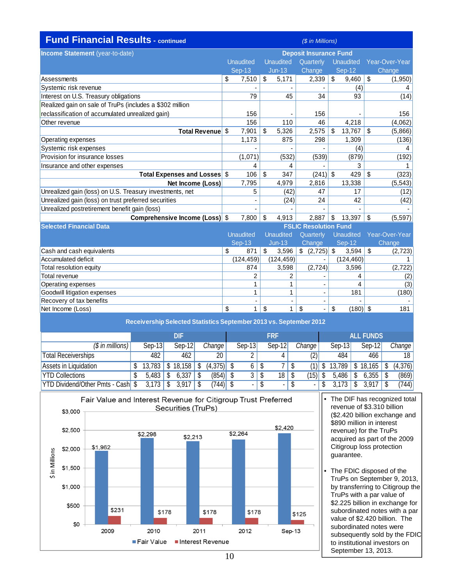| <b>Fund Financial Results - continued</b>                |                               |                  | (\$ in Millions)             |                                  |                |  |  |  |
|----------------------------------------------------------|-------------------------------|------------------|------------------------------|----------------------------------|----------------|--|--|--|
| Income Statement (year-to-date)                          | <b>Deposit Insurance Fund</b> |                  |                              |                                  |                |  |  |  |
|                                                          | <b>Unaudited</b>              | <b>Unaudited</b> | Quarterly                    | <b>Unaudited</b>                 | Year-Over-Year |  |  |  |
|                                                          | $Sep-13$                      | $Jun-13$         | Change                       | <b>Sep-12</b>                    | Change         |  |  |  |
| Assessments                                              | \$<br>7,510                   | \$<br>5,171      | 2,339                        | $\sqrt[6]{\frac{1}{2}}$<br>9,460 | \$<br>(1,950)  |  |  |  |
| Systemic risk revenue                                    |                               |                  |                              | (4)                              |                |  |  |  |
| Interest on U.S. Treasury obligations                    | 79                            | 45               | 34                           | 93                               | (14)           |  |  |  |
| Realized gain on sale of TruPs (includes a \$302 million |                               |                  |                              |                                  |                |  |  |  |
| reclassification of accumulated unrealized gain)         | 156                           | ٠                | 156                          |                                  | 156            |  |  |  |
| Other revenue                                            | 156                           | 110              | 46                           | 4,218                            | (4,062)        |  |  |  |
| <b>Total Revenue</b>                                     | \$<br>7,901                   | \$<br>5,326      | 2,575                        | \$<br>13,767                     | \$<br>(5,866)  |  |  |  |
| Operating expenses                                       | 1,173                         | 875              | 298                          | 1,309                            | (136)          |  |  |  |
| Systemic risk expenses                                   |                               |                  |                              | (4)                              |                |  |  |  |
| Provision for insurance losses                           | (1,071)                       | (532)            | (539)                        | (879)                            | (192)          |  |  |  |
| Insurance and other expenses                             | 4                             | 4                |                              | 3                                |                |  |  |  |
| Total Expenses and Losses \$                             | 106                           | \$<br>347        | (241)                        | \$<br>429                        | \$<br>(323)    |  |  |  |
| Net Income (Loss)                                        | 7,795                         | 4,979            | 2,816                        | 13,338                           | (5, 543)       |  |  |  |
| Unrealized gain (loss) on U.S. Treasury investments, net | 5                             | (42)             | 47                           | 17                               | (12)           |  |  |  |
| Unrealized gain (loss) on trust preferred securities     |                               | (24)             | 24                           | 42                               | (42)           |  |  |  |
| Unrealized postretirement benefit gain (loss)            |                               |                  |                              |                                  |                |  |  |  |
| Comprehensive Income (Loss) \$                           | 7,800                         | \$<br>4,913      | 2.887                        | \$<br>13,397                     | \$<br>(5, 597) |  |  |  |
| <b>Selected Financial Data</b>                           |                               |                  | <b>FSLIC Resolution Fund</b> |                                  |                |  |  |  |
|                                                          | <b>Unaudited</b>              | <b>Unaudited</b> | Quarterly                    | <b>Unaudited</b>                 | Year-Over-Year |  |  |  |
|                                                          | $Sep-13$                      | <b>Jun-13</b>    | Change                       | Sep-12                           | Change         |  |  |  |
| Cash and cash equivalents                                | \$<br>871                     | \$<br>3,596      | $\frac{1}{2}$ (2,725) \$     | 3,594                            | \$<br>(2,723)  |  |  |  |
| Accumulated deficit                                      | (124, 459)                    | (124, 459)       |                              | (124, 460)                       | 1.             |  |  |  |
| Total resolution equity                                  | 874                           | 3,598            | (2, 724)                     | 3,596                            | (2,722)        |  |  |  |

| Total revenue                |  |       | (2)   |
|------------------------------|--|-------|-------|
| Operating expenses           |  |       | (3)   |
| Goodwill litigation expenses |  | 181   | (180) |
| Recovery of tax benefits     |  |       |       |
| Net Income (Loss)            |  | (180) | 181   |
|                              |  |       |       |

| Receivership Selected Statistics September 2013 vs. September 2012 |   |          |  |           |  |              |  |          |    |                  |   |                     |   |        |      |          |          |
|--------------------------------------------------------------------|---|----------|--|-----------|--|--------------|--|----------|----|------------------|---|---------------------|---|--------|------|----------|----------|
|                                                                    |   | DIF      |  |           |  | <b>FRF</b>   |  |          |    | <b>ALL FUNDS</b> |   |                     |   |        |      |          |          |
| $(S \text{ in millions})$                                          |   | $Sep-13$ |  | $Sep-12$  |  | Change       |  | $Sep-13$ |    | $Sep-12$         |   | Change <sup>1</sup> |   | Sep-13 |      | $Sep-12$ | Change   |
| <b>Total Receiverships</b>                                         |   | 482      |  | 462       |  | 20           |  |          |    | 4                |   | (2)                 |   | 484    |      | 466      | 18       |
| Assets in Liquidation                                              |   | 13,783   |  | 18,158    |  | $(4,375)$ \$ |  | 6        | \$ |                  |   | (1)I S              |   | 13,789 |      | 18,165   | (4, 376) |
| <b>YTD Collections</b>                                             | S | 5.483    |  | 6,337     |  | $(854)$ \$   |  | 3        | \$ | $18$   \$        |   | $(15)$ \$           |   | 5,486  | - \$ |          | (869)    |
| <b>YTD Dividend/Other Pmts - Cash</b> \$                           |   | 3.173    |  | $3.917$ S |  | (744)  \$    |  | ۰        | \$ | ۰                | S | $\blacksquare$      | S | 3.173  |      | 3,917    | (744)    |



- The DIF has recognized total revenue of \$3.310 billion (\$2.420 billion exchange and \$890 million in interest revenue) for the TruPs acquired as part of the 2009 Citigroup loss protection guarantee.
- The FDIC disposed of the TruPs on September 9, 2013, by transferring to Citigroup the TruPs with a par value of \$2.225 billion in exchange for subordinated notes with a par value of \$2.420 billion. The subordinated notes were subsequently sold by the FDIC to institutional investors on September 13, 2013.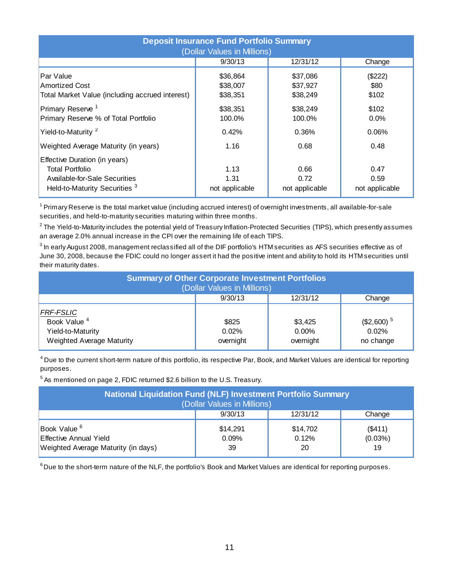| <b>Deposit Insurance Fund Portfolio Summary</b><br>(Dollar Values in Millions)                                                       |                                  |                                  |                                |  |  |  |  |  |  |  |
|--------------------------------------------------------------------------------------------------------------------------------------|----------------------------------|----------------------------------|--------------------------------|--|--|--|--|--|--|--|
|                                                                                                                                      | 9/30/13                          | 12/31/12                         | Change                         |  |  |  |  |  |  |  |
| Par Value<br><b>Amortized Cost</b><br>Total Market Value (including accrued interest)                                                | \$36,864<br>\$38,007<br>\$38,351 | \$37,086<br>\$37,927<br>\$38,249 | (\$222)<br>\$80<br>\$102       |  |  |  |  |  |  |  |
| Primary Reserve <sup>1</sup><br>Primary Reserve % of Total Portfolio                                                                 | \$38,351<br>100.0%               | \$38,249<br>100.0%               | \$102<br>$0.0\%$               |  |  |  |  |  |  |  |
| Yield-to-Maturity <sup>2</sup>                                                                                                       | 0.42%                            | 0.36%                            | 0.06%                          |  |  |  |  |  |  |  |
| Weighted Average Maturity (in years)                                                                                                 | 1.16                             | 0.68                             | 0.48                           |  |  |  |  |  |  |  |
| Effective Duration (in years)<br><b>Total Portfolio</b><br>Available-for-Sale Securities<br>Held-to-Maturity Securities <sup>3</sup> | 1.13<br>1.31<br>not applicable   | 0.66<br>0.72<br>not applicable   | 0.47<br>0.59<br>not applicable |  |  |  |  |  |  |  |

<sup>1</sup> Primary Reserve is the total market value (including accrued interest) of overnight investments, all available-for-sale securities, and held-to-maturity securities maturing within three months.

 $^{\rm 2}$ The Yield-to-Maturity includes the potential yield of Treasury Inflation-Protected Securities (TIPS), which presently assumes an average 2.0% annual increase in the CPI over the remaining life of each TIPS.

 $^3$  In early August 2008, management reclassified all of the DIF portfolio's HTM securities as AFS securities effective as of June 30, 2008, because the FDIC could no longer assert it had the positive intent and ability to hold its HTM securities until their maturity dates.

| <b>Summary of Other Corporate Investment Portfolios</b><br>(Dollar Values in Millions)        |                             |                                  |                                               |  |  |  |  |  |  |
|-----------------------------------------------------------------------------------------------|-----------------------------|----------------------------------|-----------------------------------------------|--|--|--|--|--|--|
|                                                                                               | 9/30/13                     | 12/31/12                         | Change                                        |  |  |  |  |  |  |
| <b>FRF-FSLIC</b><br>Book Value <sup>4</sup><br>Yield-to-Maturity<br>Weighted Average Maturity | \$825<br>0.02%<br>overnight | \$3,425<br>$0.00\%$<br>overnight | $($2,600)$ <sup>5</sup><br>0.02%<br>no change |  |  |  |  |  |  |

 $^4$  Due to the current short-term nature of this portfolio, its respective Par, Book, and Market Values are identical for reporting purposes.

 $^5$  As mentioned on page 2, FDIC returned \$2.6 billion to the U.S. Treasury.

| <b>National Liquidation Fund (NLF) Investment Portfolio Summary</b><br>(Dollar Values in Millions) |                         |                         |                            |  |  |  |  |  |  |
|----------------------------------------------------------------------------------------------------|-------------------------|-------------------------|----------------------------|--|--|--|--|--|--|
|                                                                                                    | 9/30/13                 | 12/31/12                | Change                     |  |  |  |  |  |  |
| Book Value <sup>6</sup><br>Effective Annual Yield<br>Weighted Average Maturity (in days)           | \$14.291<br>0.09%<br>39 | \$14,702<br>0.12%<br>20 | (S411)<br>$(0.03\%)$<br>19 |  |  |  |  |  |  |

<sup>6</sup> Due to the short-term nature of the NLF, the portfolio's Book and Market Values are identical for reporting purposes.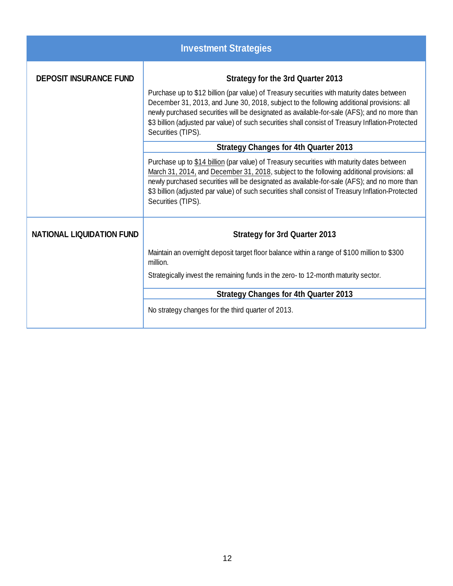|                                  | <b>Investment Strategies</b>                                                                                                                                                                                                                                                                                                                                                                                       |
|----------------------------------|--------------------------------------------------------------------------------------------------------------------------------------------------------------------------------------------------------------------------------------------------------------------------------------------------------------------------------------------------------------------------------------------------------------------|
| <b>DEPOSIT INSURANCE FUND</b>    | <b>Strategy for the 3rd Quarter 2013</b>                                                                                                                                                                                                                                                                                                                                                                           |
|                                  | Purchase up to \$12 billion (par value) of Treasury securities with maturity dates between<br>December 31, 2013, and June 30, 2018, subject to the following additional provisions: all<br>newly purchased securities will be designated as available-for-sale (AFS); and no more than<br>\$3 billion (adjusted par value) of such securities shall consist of Treasury Inflation-Protected<br>Securities (TIPS).  |
|                                  | <b>Strategy Changes for 4th Quarter 2013</b>                                                                                                                                                                                                                                                                                                                                                                       |
|                                  | Purchase up to \$14 billion (par value) of Treasury securities with maturity dates between<br>March 31, 2014, and December 31, 2018, subject to the following additional provisions: all<br>newly purchased securities will be designated as available-for-sale (AFS); and no more than<br>\$3 billion (adjusted par value) of such securities shall consist of Treasury Inflation-Protected<br>Securities (TIPS). |
| <b>NATIONAL LIQUIDATION FUND</b> | <b>Strategy for 3rd Quarter 2013</b>                                                                                                                                                                                                                                                                                                                                                                               |
|                                  | Maintain an overnight deposit target floor balance within a range of \$100 million to \$300<br>million.                                                                                                                                                                                                                                                                                                            |
|                                  | Strategically invest the remaining funds in the zero- to 12-month maturity sector.                                                                                                                                                                                                                                                                                                                                 |
|                                  | <b>Strategy Changes for 4th Quarter 2013</b>                                                                                                                                                                                                                                                                                                                                                                       |
|                                  | No strategy changes for the third quarter of 2013.                                                                                                                                                                                                                                                                                                                                                                 |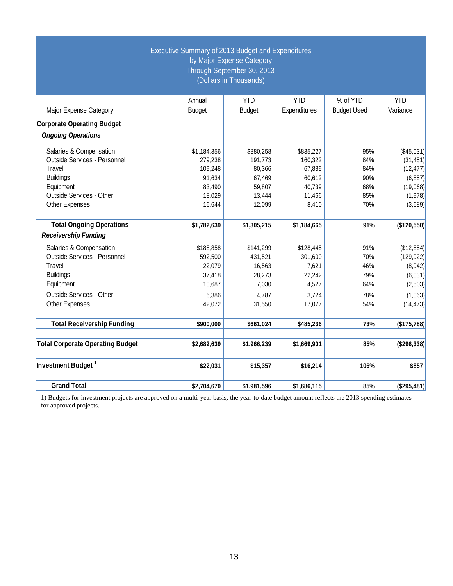|                                         | Executive Summary of 2013 Budget and Expenditures | by Major Expense Category<br>Through September 30, 2013<br>(Dollars in Thousands) |              |                    |             |
|-----------------------------------------|---------------------------------------------------|-----------------------------------------------------------------------------------|--------------|--------------------|-------------|
|                                         | Annual                                            | <b>YTD</b>                                                                        | <b>YTD</b>   | % of YTD           | <b>YTD</b>  |
| Major Expense Category                  | <b>Budget</b>                                     | <b>Budget</b>                                                                     | Expenditures | <b>Budget Used</b> | Variance    |
| <b>Corporate Operating Budget</b>       |                                                   |                                                                                   |              |                    |             |
| <b>Ongoing Operations</b>               |                                                   |                                                                                   |              |                    |             |
| Salaries & Compensation                 | \$1,184,356                                       | \$880,258                                                                         | \$835,227    | 95%                | (\$45,031)  |
| Outside Services - Personnel            | 279,238                                           | 191,773                                                                           | 160,322      | 84%                | (31, 451)   |
| Travel                                  | 109,248                                           | 80,366                                                                            | 67,889       | 84%                | (12, 477)   |
| <b>Buildings</b>                        | 91,634                                            | 67,469                                                                            | 60,612       | 90%                | (6, 857)    |
| Equipment                               | 83,490                                            | 59,807                                                                            | 40,739       | 68%                | (19,068)    |
| Outside Services - Other                | 18,029                                            | 13,444                                                                            | 11,466       | 85%                | (1,978)     |
| Other Expenses                          | 16,644                                            | 12,099                                                                            | 8,410        | 70%                | (3,689)     |
| <b>Total Ongoing Operations</b>         | \$1,782,639                                       | \$1,305,215                                                                       | \$1,184,665  | 91%                | (\$120,550) |
| <b>Receivership Funding</b>             |                                                   |                                                                                   |              |                    |             |
| Salaries & Compensation                 | \$188,858                                         | \$141,299                                                                         | \$128,445    | 91%                | (\$12,854)  |
| Outside Services - Personnel            | 592,500                                           | 431,521                                                                           | 301,600      | 70%                | (129, 922)  |
| Travel                                  | 22,079                                            | 16,563                                                                            | 7,621        | 46%                | (8,942)     |
| <b>Buildings</b>                        | 37,418                                            | 28,273                                                                            | 22,242       | 79%                | (6,031)     |
| Equipment                               | 10,687                                            | 7,030                                                                             | 4,527        | 64%                | (2,503)     |
| Outside Services - Other                | 6,386                                             | 4,787                                                                             | 3,724        | 78%                | (1,063)     |
| Other Expenses                          | 42,072                                            | 31,550                                                                            | 17,077       | 54%                | (14, 473)   |
| <b>Total Receivership Funding</b>       | \$900,000                                         | \$661,024                                                                         | \$485,236    | 73%                | (\$175,788) |
|                                         |                                                   |                                                                                   |              |                    |             |
| <b>Total Corporate Operating Budget</b> | \$2,682,639                                       | \$1,966,239                                                                       | \$1,669,901  | 85%                | (\$296,338) |
| Investment Budget <sup>1</sup>          | \$22,031                                          | \$15,357                                                                          | \$16,214     | 106%               | \$857       |
| <b>Grand Total</b>                      | \$2,704,670                                       | \$1,981,596                                                                       | \$1,686,115  | 85%                | (\$295,481) |

1) Budgets for investment projects are approved on a multi-year basis; the year-to-date budget amount reflects the 2013 spending estimates for approved projects.